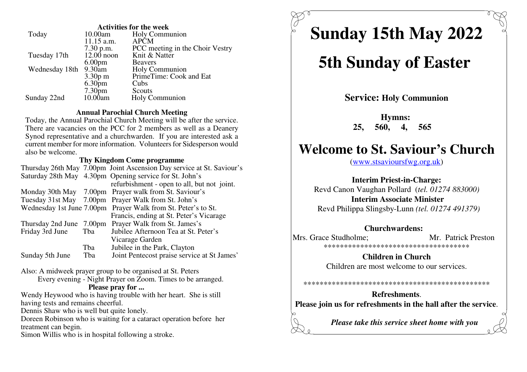| <b>Activities for the week</b> |                    |                                 |  |
|--------------------------------|--------------------|---------------------------------|--|
| Today                          | 10.00am            | <b>Holy Communion</b>           |  |
|                                | $11.15$ a.m.       | <b>APCM</b>                     |  |
|                                | $7.30$ p.m.        | PCC meeting in the Choir Vestry |  |
| Tuesday 17th                   | $12.00$ noon       | Knit & Natter                   |  |
|                                | 6.00 <sub>pm</sub> | <b>Beavers</b>                  |  |
| Wednesday 18th                 | $9.30$ am          | Holy Communion                  |  |
|                                | $3.30p$ m          | PrimeTime: Cook and Eat         |  |
|                                | 6.30 <sub>pm</sub> | Cubs                            |  |
|                                | 7.30 <sub>pm</sub> | Scouts                          |  |
| Sunday 22nd                    | 10.00am            | Holy Communion                  |  |
|                                |                    |                                 |  |

#### **Annual Parochial Church Meeting**

 Today, the Annual Parochial Church Meeting will be after the service. There are vacancies on the PCC for 2 members as well as a Deanery Synod representative and a churchwarden. If you are interested ask a current member for more information. Volunteers for Sidesperson wouldalso be welcome.

#### **Thy Kingdom Come programme**

|                          |     | Thursday 26th May 7.00pm Joint Ascension Day service at St. Saviour's |  |
|--------------------------|-----|-----------------------------------------------------------------------|--|
|                          |     | Saturday 28th May 4.30pm Opening service for St. John's               |  |
|                          |     | refurbishment - open to all, but not joint.                           |  |
|                          |     | Monday 30th May 7.00pm Prayer walk from St. Saviour's                 |  |
|                          |     | Tuesday 31st May 7.00pm Prayer Walk from St. John's                   |  |
|                          |     | Wednesday 1st June 7.00pm Prayer Walk from St. Peter's to St.         |  |
|                          |     | Francis, ending at St. Peter's Vicarage                               |  |
| Thursday 2nd June 7.00pm |     | Prayer Walk from St. James's                                          |  |
| Friday 3rd June          | Tba | Jubilee Afternoon Tea at St. Peter's                                  |  |
|                          |     | Vicarage Garden                                                       |  |
|                          | Tba | Jubilee in the Park, Clayton                                          |  |
| Sunday 5th June          | Tba | Joint Pentecost praise service at St James'                           |  |
|                          |     |                                                                       |  |

Also: A midweek prayer group to be organised at St. Peters

Every evening - Night Prayer on Zoom. Times to be arranged.

#### **Please pray for ...**

 Wendy Heywood who is having trouble with her heart. She is stillhaving tests and remains cheerful.

Dennis Shaw who is well but quite lonely.

 Doreen Robinson who is waiting for a cataract operation before hertreatment can begin.

Simon Willis who is in hospital following a stroke.

**Sunday 15th May 2022**

# **5th Sunday of Easter**

**Service: Holy Communion**

**Hymns: 25, 560, 4, 565** 

## **Welcome to St. Saviour's Church**

(www.stsavioursfwg.org.uk)

### **Interim Priest-in-Charge:**

 Revd Canon Vaughan Pollard (*tel. 01274 883000)***Interim Associate Minister**

Revd Philippa Slingsby-Lunn *(tel. 01274 491379)*

## **Churchwardens:**

Mrs. Grace Studholme; Mr. Patrick Preston \*\*\*\*\*\*\*\*\*\*\*\*\*\*\*\*\*\*\*\*\*\*\*\*\*\*\*\*\*\*\*\*\*\*\*\*

> **Children in Church**Children are most welcome to our services.

#### \*\*\*\*\*\*\*\*\*\*\*\*\*\*\*\*\*\*\*\*\*\*\*\*\*\*\*\*\*\*\*\*\*\*\*\*\*\*\*\*\*\*\*\*\*\*

**Refreshments**.**Please join us for refreshments in the hall after the service**.

*Please take this service sheet home with you*